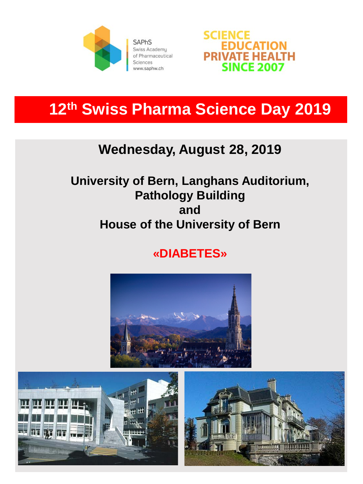

**SAPhS** Swiss Academy of Pharmaceutical Sciences www.saphw.ch



# **12th Swiss Pharma Science Day 2019**

## **Wednesday, August 28, 2019**

### **University of Bern, Langhans Auditorium, Pathology Building and House of the University of Bern**

## **«DIABETES»**



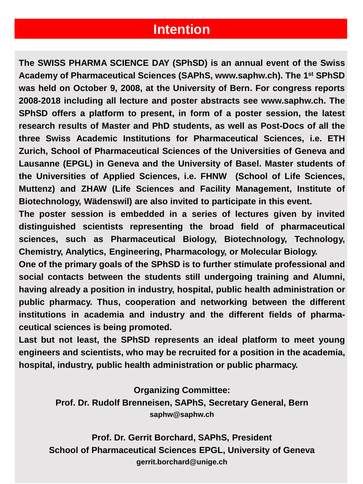#### **Intention**

**The SWISS PHARMA SCIENCE DAY (SPhSD) is an annual event of the Swiss Academy of Pharmaceutical Sciences (SAPhS, www.saphw.ch). The 1st SPhSD was held on October 9, 2008, at the University of Bern. For congress reports 2008-2018 including all lecture and poster abstracts see www.saphw.ch. The SPhSD offers a platform to present, in form of a poster session, the latest research results of Master and PhD students, as well as Post-Docs of all the three Swiss Academic Institutions for Pharmaceutical Sciences, i.e. ETH Zurich, School of Pharmaceutical Sciences of the Universities of Geneva and Lausanne (EPGL) in Geneva and the University of Basel. Master students of the Universities of Applied Sciences, i.e. FHNW (School of Life Sciences, Muttenz) and ZHAW (Life Sciences and Facility Management, Institute of Biotechnology, Wädenswil) are also invited to participate in this event.**

**The poster session is embedded in a series of lectures given by invited distinguished scientists representing the broad field of pharmaceutical sciences, such as Pharmaceutical Biology, Biotechnology, Technology, Chemistry, Analytics, Engineering, Pharmacology, or Molecular Biology.**

**One of the primary goals of the SPhSD is to further stimulate professional and social contacts between the students still undergoing training and Alumni, having already a position in industry, hospital, public health administration or public pharmacy. Thus, cooperation and networking between the different institutions in academia and industry and the different fields of pharmaceutical sciences is being promoted.**

**Last but not least, the SPhSD represents an ideal platform to meet young engineers and scientists, who may be recruited for a position in the academia, hospital, industry, public health administration or public pharmacy.**

**Organizing Committee:**

**Prof. Dr. Rudolf Brenneisen, SAPhS, Secretary General, Bern saphw@saphw.ch**

**Prof. Dr. Gerrit Borchard, SAPhS, President School of Pharmaceutical Sciences EPGL, University of Geneva gerrit.borchard@unige.ch**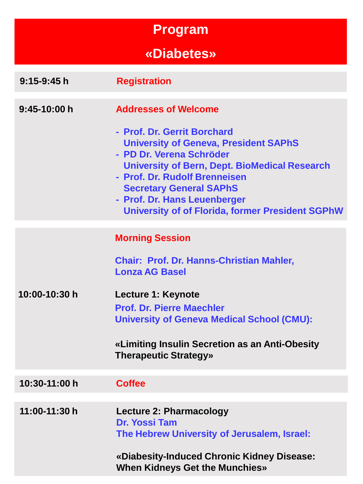# **Program**

# **«Diabetes»**

| $9:15-9:45h$  | <b>Registration</b>                                                                                                                                                                                                                                                                                                                                          |
|---------------|--------------------------------------------------------------------------------------------------------------------------------------------------------------------------------------------------------------------------------------------------------------------------------------------------------------------------------------------------------------|
| $9:45-10:00h$ | <b>Addresses of Welcome</b><br>- Prof. Dr. Gerrit Borchard<br><b>University of Geneva, President SAPhS</b><br>- PD Dr. Verena Schröder<br><b>University of Bern, Dept. BioMedical Research</b><br>- Prof. Dr. Rudolf Brenneisen<br><b>Secretary General SAPhS</b><br>- Prof. Dr. Hans Leuenberger<br><b>University of of Florida, former President SGPhW</b> |
| 10:00-10:30 h | <b>Morning Session</b><br><b>Chair: Prof. Dr. Hanns-Christian Mahler,</b><br><b>Lonza AG Basel</b><br>Lecture 1: Keynote<br><b>Prof. Dr. Pierre Maechler</b><br><b>University of Geneva Medical School (CMU):</b><br>«Limiting Insulin Secretion as an Anti-Obesity<br><b>Therapeutic Strategy»</b>                                                          |
| 10:30-11:00 h | <b>Coffee</b>                                                                                                                                                                                                                                                                                                                                                |
| 11:00-11:30 h | <b>Lecture 2: Pharmacology</b><br>Dr. Yossi Tam<br>The Hebrew University of Jerusalem, Israel:<br>«Diabesity-Induced Chronic Kidney Disease:<br><b>When Kidneys Get the Munchies»</b>                                                                                                                                                                        |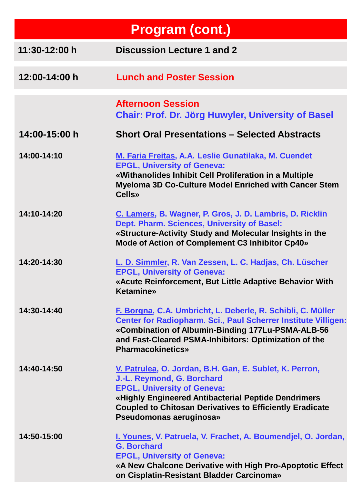| <b>Program (cont.)</b> |                                                                                                                                                                                                                                                                                  |  |
|------------------------|----------------------------------------------------------------------------------------------------------------------------------------------------------------------------------------------------------------------------------------------------------------------------------|--|
| 11:30-12:00 h          | <b>Discussion Lecture 1 and 2</b>                                                                                                                                                                                                                                                |  |
| 12:00-14:00 h          | <b>Lunch and Poster Session</b>                                                                                                                                                                                                                                                  |  |
|                        | <b>Afternoon Session</b><br>Chair: Prof. Dr. Jörg Huwyler, University of Basel                                                                                                                                                                                                   |  |
| 14:00-15:00 h          | <b>Short Oral Presentations - Selected Abstracts</b>                                                                                                                                                                                                                             |  |
| 14:00-14:10            | M. Faria Freitas, A.A. Leslie Gunatilaka, M. Cuendet<br><b>EPGL, University of Geneva:</b><br>«Withanolides Inhibit Cell Proliferation in a Multiple<br>Myeloma 3D Co-Culture Model Enriched with Cancer Stem<br><b>Cells</b> »                                                  |  |
| 14:10-14:20            | C. Lamers, B. Wagner, P. Gros, J. D. Lambris, D. Ricklin<br>Dept. Pharm. Sciences, University of Basel:<br>«Structure-Activity Study and Molecular Insights in the<br>Mode of Action of Complement C3 Inhibitor Cp40»                                                            |  |
| 14:20-14:30            | L. D. Simmler, R. Van Zessen, L. C. Hadjas, Ch. Lüscher<br><b>EPGL, University of Geneva:</b><br>«Acute Reinforcement, But Little Adaptive Behavior With<br><b>Ketamine</b> »                                                                                                    |  |
| 14:30-14:40            | F. Borgna, C.A. Umbricht, L. Deberle, R. Schibli, C. Müller<br>Center for Radiopharm. Sci., Paul Scherrer Institute Villigen:<br>«Combination of Albumin-Binding 177Lu-PSMA-ALB-56<br>and Fast-Cleared PSMA-Inhibitors: Optimization of the<br><b>Pharmacokinetics»</b>          |  |
| 14:40-14:50            | V. Patrulea, O. Jordan, B.H. Gan, E. Sublet, K. Perron,<br>J.-L. Reymond, G. Borchard<br><b>EPGL, University of Geneva:</b><br>«Highly Engineered Antibacterial Peptide Dendrimers<br><b>Coupled to Chitosan Derivatives to Efficiently Eradicate</b><br>Pseudomonas aeruginosa» |  |
| 14:50-15:00            | I. Younes, V. Patruela, V. Frachet, A. Boumendjel, O. Jordan,<br><b>G. Borchard</b><br><b>EPGL, University of Geneva:</b><br>«A New Chalcone Derivative with High Pro-Apoptotic Effect<br>on Cisplatin-Resistant Bladder Carcinoma»                                              |  |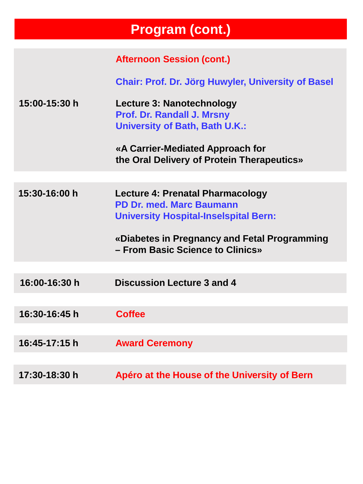# **Program (cont.)**

|               | <b>Afternoon Session (cont.)</b>                                                                                                                                                                        |
|---------------|---------------------------------------------------------------------------------------------------------------------------------------------------------------------------------------------------------|
|               |                                                                                                                                                                                                         |
|               | Chair: Prof. Dr. Jörg Huwyler, University of Basel                                                                                                                                                      |
| 15:00-15:30 h | Lecture 3: Nanotechnology<br><b>Prof. Dr. Randall J. Mrsny</b><br><b>University of Bath, Bath U.K.:</b><br>«A Carrier-Mediated Approach for<br>the Oral Delivery of Protein Therapeutics»               |
|               |                                                                                                                                                                                                         |
| 15:30-16:00 h | Lecture 4: Prenatal Pharmacology<br><b>PD Dr. med. Marc Baumann</b><br><b>University Hospital-Inselspital Bern:</b><br>«Diabetes in Pregnancy and Fetal Programming<br>- From Basic Science to Clinics» |
|               |                                                                                                                                                                                                         |
| 16:00-16:30 h | <b>Discussion Lecture 3 and 4</b>                                                                                                                                                                       |
|               |                                                                                                                                                                                                         |
| 16:30-16:45 h | <b>Coffee</b>                                                                                                                                                                                           |
|               |                                                                                                                                                                                                         |
| 16:45-17:15 h | <b>Award Ceremony</b>                                                                                                                                                                                   |
|               |                                                                                                                                                                                                         |
| 17:30-18:30 h | Apéro at the House of the University of Bern                                                                                                                                                            |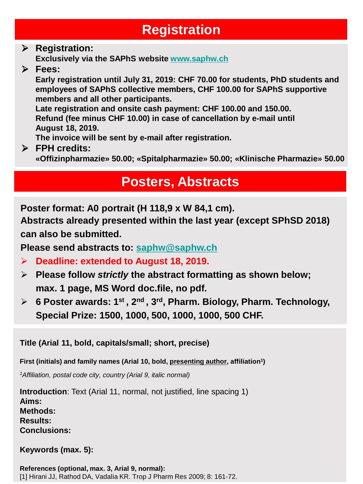## **Registration**

### **Registration:**

**Exclusively via the SAPhS website [www.saphw.ch](http://www.saphw.ch/)**

**Fees:**

**Early registration until July 31, 2019: CHF 70.00 for students, PhD students and employees of SAPhS collective members, CHF 100.00 for SAPhS supportive members and all other participants.** 

**Late registration and onsite cash payment: CHF 100.00 and 150.00. Refund (fee minus CHF 10.00) in case of cancellation by e-mail until August 18, 2019.**

**The invoice will be sent by e-mail after registration.** 

**FPH credits:**

**«Offizinpharmazie» 50.00; «Spitalpharmazie» 50.00; «Klinische Pharmazie» 50.00**

## **Posters, Abstracts**

**Poster format: A0 portrait (H 118,9 x W 84,1 cm).**

**Abstracts already presented within the last year (except SPhSD 2018) can also be submitted.** 

**Please send abstracts to: [saphw@saphw.ch](mailto:saphw@saphw.ch)**

- **Deadline: extended to August 18, 2019.**
- **Please follow** *strictly* **the abstract formatting as shown below; max. 1 page, MS Word doc.file, no pdf.**
- **6 Poster awards: 1st , 2nd , 3rd, Pharm. Biology, Pharm. Technology, Special Prize: 1500, 1000, 500, 1000, 1000, 500 CHF.**

**Title (Arial 11, bold, capitals/small; short, precise)** 

**First (initials) and family names (Arial 10, bold, presenting author, affiliation1)**

*1Affiliation, postal code city, country (Arial 9, italic normal)*

**Introduction**: Text (Arial 11, normal, not justified, line spacing 1) **Aims: Methods: Results: Conclusions:**

**Keywords (max. 5):**

**References (optional, max. 3, Arial 9, normal):** [1] Hirani JJ, Rathod DA, Vadalia KR. Trop J Pharm Res 2009; 8: 161-72.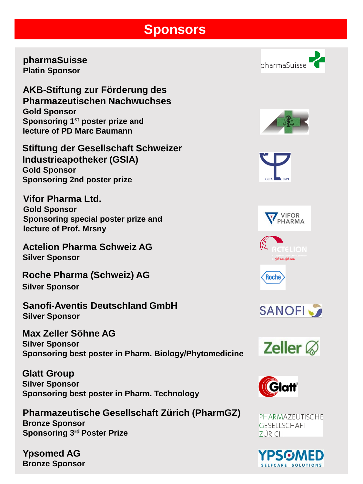#### **Sponsors**

**pharmaSuisse Platin Sponsor**

**AKB-Stiftung zur Förderung des Pharmazeutischen Nachwuchses Gold Sponsor Sponsoring 1st poster prize and lecture of PD Marc Baumann**

**Stiftung der Gesellschaft Schweizer Industrieapotheker (GSIA) Gold Sponsor Sponsoring 2nd poster prize**

**Vifor Pharma Ltd. Gold Sponsor Sponsoring special poster prize and lecture of Prof. Mrsny**

**Actelion Pharma Schweiz AG Silver Sponsor**

**Roche Pharma (Schweiz) AG Silver Sponsor**

**Sanofi-Aventis Deutschland GmbH Silver Sponsor**

**Max Zeller Söhne AG Silver Sponsor Sponsoring best poster in Pharm. Biology/Phytomedicine** 

**Glatt Group Silver Sponsor Sponsoring best poster in Pharm. Technology** 

**Pharmazeutische Gesellschaft Zürich (PharmGZ) Bronze Sponsor Sponsoring 3rd Poster Prize**

**Ypsomed AG Bronze Sponsor**